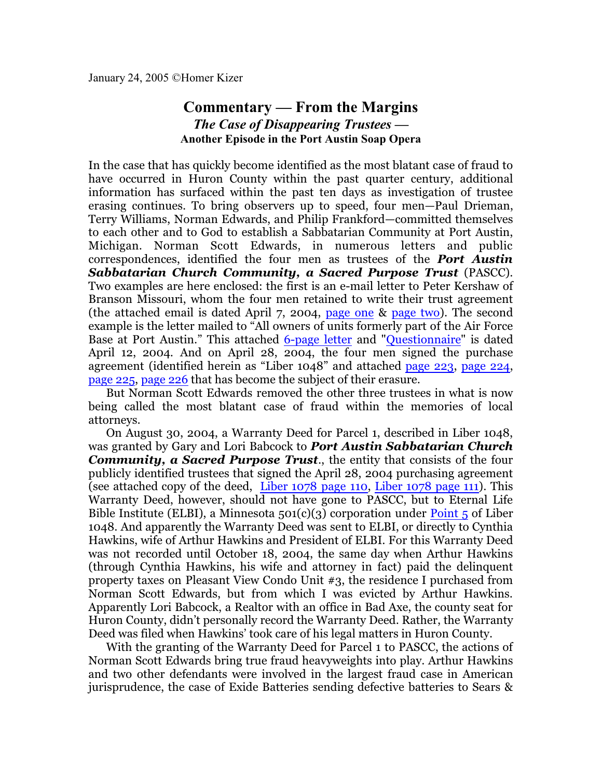## **Commentary — From the Margins** *The Case of Disappearing Trustees —* **Another Episode in the Port Austin Soap Opera**

In the case that has quickly become identified as the most blatant case of fraud to have occurred in Huron County within the past quarter century, additional information has surfaced within the past ten days as investigation of trustee erasing continues. To bring observers up to speed, four men—Paul Drieman, Terry Williams, Norman Edwards, and Philip Frankford—committed themselves to each other and to God to establish a Sabbatarian Community at Port Austin, Michigan. Norman Scott Edwards, in numerous letters and public correspondences, identified the four men as trustees of the *Port Austin Sabbatarian Church Community, a Sacred Purpose Trust* (PASCC). Two examples are here enclosed: the first is an e-mail letter to Peter Kershaw of Branson Missouri, whom the four men retained to write their trust agreement (the attached email is dated April 7, 2004, [page one](http://homerkizer.org/email%20norm%20to%20kershaw%204-7-04%20p1.pdf) & [page two](http://homerkizer.org/email%20norm%20to%20kershaw%204-7-04%20p2.pdf)). The second example is the letter mailed to "All owners of units formerly part of the Air Force Base at Port Austin." This attached [6-page letter](http://homerkizer.org/Letter%20to%20owners%2001.pdf) and ["Questionnaire](http://homerkizer.org/Letter%20to%20Owners%20Questionnaire.pdf)" is dated April 12, 2004. And on April 28, 2004, the four men signed the purchase agreement (identified herein as "Liber 1048" and attached [page 223](http://homerkizer.org/ALC%201048-223.pdf), [page 224](http://homerkizer.org/ALC%201048-224.pdf), [page 225](http://homerkizer.org/ALC%201048-225.pdf), [page 226](http://homerkizer.org/ALC%201048-226.pdf) that has become the subject of their erasure.

But Norman Scott Edwards removed the other three trustees in what is now being called the most blatant case of fraud within the memories of local attorneys.

On August 30, 2004, a Warranty Deed for Parcel 1, described in Liber 1048, was granted by Gary and Lori Babcock to *Port Austin Sabbatarian Church Community, a Sacred Purpose Trust*., the entity that consists of the four publicly identified trustees that signed the April 28, 2004 purchasing agreement (see attached copy of the deed, [Liber 1078](http://homerkizer.org/Liber%201078%20p110.pdf) page 110, [Liber 1078 page 111](http://homerkizer.org/Liber%201078%20p111.pdf)). This Warranty Deed, however, should not have gone to PASCC, but to Eternal Life Bible Institute (ELBI), a Minnesota  $501(c)(3)$  corporation under [Point](http://homerkizer.org/ALC%201048-224.pdf) 5 of Liber 1048. And apparently the Warranty Deed was sent to ELBI, or directly to Cynthia Hawkins, wife of Arthur Hawkins and President of ELBI. For this Warranty Deed was not recorded until October 18, 2004, the same day when Arthur Hawkins (through Cynthia Hawkins, his wife and attorney in fact) paid the delinquent property taxes on Pleasant View Condo Unit #3, the residence I purchased from Norman Scott Edwards, but from which I was evicted by Arthur Hawkins. Apparently Lori Babcock, a Realtor with an office in Bad Axe, the county seat for Huron County, didn't personally record the Warranty Deed. Rather, the Warranty Deed was filed when Hawkins' took care of his legal matters in Huron County.

With the granting of the Warranty Deed for Parcel 1 to PASCC, the actions of Norman Scott Edwards bring true fraud heavyweights into play. Arthur Hawkins and two other defendants were involved in the largest fraud case in American jurisprudence, the case of Exide Batteries sending defective batteries to Sears &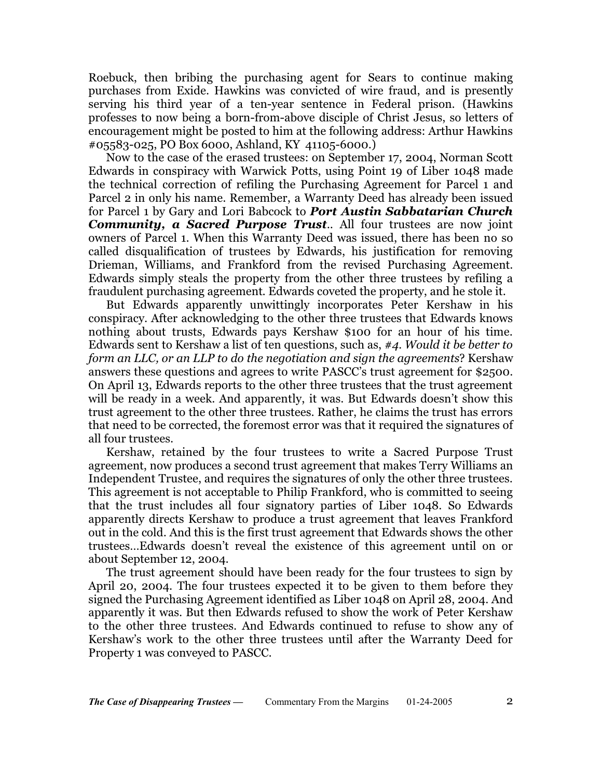Roebuck, then bribing the purchasing agent for Sears to continue making purchases from Exide. Hawkins was convicted of wire fraud, and is presently serving his third year of a ten-year sentence in Federal prison. (Hawkins professes to now being a born-from-above disciple of Christ Jesus, so letters of encouragement might be posted to him at the following address: Arthur Hawkins #05583-025, PO Box 6000, Ashland, KY 41105-6000.)

Now to the case of the erased trustees: on September 17, 2004, Norman Scott Edwards in conspiracy with Warwick Potts, using Point 19 of Liber 1048 made the technical correction of refiling the Purchasing Agreement for Parcel 1 and Parcel 2 in only his name. Remember, a Warranty Deed has already been issued for Parcel 1 by Gary and Lori Babcock to *Port Austin Sabbatarian Church Community, a Sacred Purpose Trust*.. All four trustees are now joint owners of Parcel 1. When this Warranty Deed was issued, there has been no so called disqualification of trustees by Edwards, his justification for removing Drieman, Williams, and Frankford from the revised Purchasing Agreement. Edwards simply steals the property from the other three trustees by refiling a fraudulent purchasing agreement. Edwards coveted the property, and he stole it.

But Edwards apparently unwittingly incorporates Peter Kershaw in his conspiracy. After acknowledging to the other three trustees that Edwards knows nothing about trusts, Edwards pays Kershaw \$100 for an hour of his time. Edwards sent to Kershaw a list of ten questions, such as, *#4. Would it be better to form an LLC, or an LLP to do the negotiation and sign the agreements*? Kershaw answers these questions and agrees to write PASCC's trust agreement for \$2500. On April 13, Edwards reports to the other three trustees that the trust agreement will be ready in a week. And apparently, it was. But Edwards doesn't show this trust agreement to the other three trustees. Rather, he claims the trust has errors that need to be corrected, the foremost error was that it required the signatures of all four trustees.

Kershaw, retained by the four trustees to write a Sacred Purpose Trust agreement, now produces a second trust agreement that makes Terry Williams an Independent Trustee, and requires the signatures of only the other three trustees. This agreement is not acceptable to Philip Frankford, who is committed to seeing that the trust includes all four signatory parties of Liber 1048. So Edwards apparently directs Kershaw to produce a trust agreement that leaves Frankford out in the cold. And this is the first trust agreement that Edwards shows the other trustees…Edwards doesn't reveal the existence of this agreement until on or about September 12, 2004.

The trust agreement should have been ready for the four trustees to sign by April 20, 2004. The four trustees expected it to be given to them before they signed the Purchasing Agreement identified as Liber 1048 on April 28, 2004. And apparently it was. But then Edwards refused to show the work of Peter Kershaw to the other three trustees. And Edwards continued to refuse to show any of Kershaw's work to the other three trustees until after the Warranty Deed for Property 1 was conveyed to PASCC.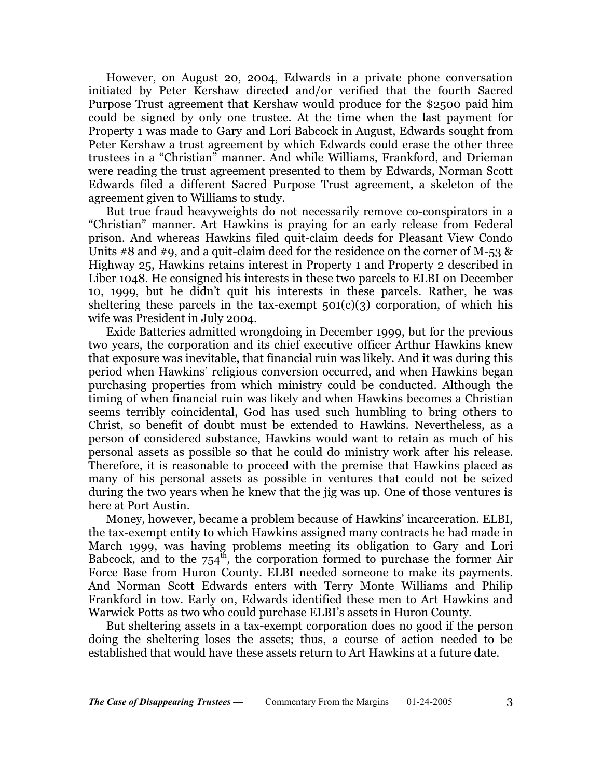However, on August 20, 2004, Edwards in a private phone conversation initiated by Peter Kershaw directed and/or verified that the fourth Sacred Purpose Trust agreement that Kershaw would produce for the \$2500 paid him could be signed by only one trustee. At the time when the last payment for Property 1 was made to Gary and Lori Babcock in August, Edwards sought from Peter Kershaw a trust agreement by which Edwards could erase the other three trustees in a "Christian" manner. And while Williams, Frankford, and Drieman were reading the trust agreement presented to them by Edwards, Norman Scott Edwards filed a different Sacred Purpose Trust agreement, a skeleton of the agreement given to Williams to study.

But true fraud heavyweights do not necessarily remove co-conspirators in a "Christian" manner. Art Hawkins is praying for an early release from Federal prison. And whereas Hawkins filed quit-claim deeds for Pleasant View Condo Units #8 and #9, and a quit-claim deed for the residence on the corner of M-53  $\&$ Highway 25, Hawkins retains interest in Property 1 and Property 2 described in Liber 1048. He consigned his interests in these two parcels to ELBI on December 10, 1999, but he didn't quit his interests in these parcels. Rather, he was sheltering these parcels in the tax-exempt  $501(c)(3)$  corporation, of which his wife was President in July 2004.

Exide Batteries admitted wrongdoing in December 1999, but for the previous two years, the corporation and its chief executive officer Arthur Hawkins knew that exposure was inevitable, that financial ruin was likely. And it was during this period when Hawkins' religious conversion occurred, and when Hawkins began purchasing properties from which ministry could be conducted. Although the timing of when financial ruin was likely and when Hawkins becomes a Christian seems terribly coincidental, God has used such humbling to bring others to Christ, so benefit of doubt must be extended to Hawkins. Nevertheless, as a person of considered substance, Hawkins would want to retain as much of his personal assets as possible so that he could do ministry work after his release. Therefore, it is reasonable to proceed with the premise that Hawkins placed as many of his personal assets as possible in ventures that could not be seized during the two years when he knew that the jig was up. One of those ventures is here at Port Austin.

Money, however, became a problem because of Hawkins' incarceration. ELBI, the tax-exempt entity to which Hawkins assigned many contracts he had made in March 1999, was having problems meeting its obligation to Gary and Lori Babcock, and to the  $754<sup>th</sup>$ , the corporation formed to purchase the former Air Force Base from Huron County. ELBI needed someone to make its payments. And Norman Scott Edwards enters with Terry Monte Williams and Philip Frankford in tow. Early on, Edwards identified these men to Art Hawkins and Warwick Potts as two who could purchase ELBI's assets in Huron County.

But sheltering assets in a tax-exempt corporation does no good if the person doing the sheltering loses the assets; thus, a course of action needed to be established that would have these assets return to Art Hawkins at a future date.